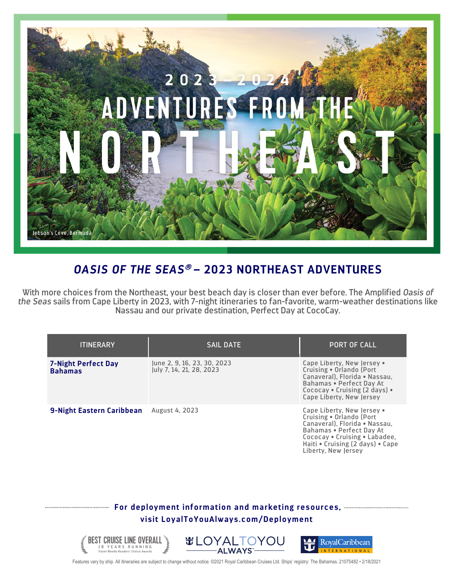

## *OASIS OF THE SEAS*<sup>â</sup> **– 2023 NORTHEAST ADVENTURES**

With more choices from the Northeast, your best beach day is closer than ever before. The Amplified *Oasis of the Seas* sails from Cape Liberty in 2023, with 7-night itineraries to fan-favorite, warm-weather destinations like Nassau and our private destination, Perfect Day at CocoCay.

| <b>ITINERARY</b>                             | <b>SAIL DATE</b>                                        | <b>PORT OF CALL</b>                                                                                                                                                                                             |
|----------------------------------------------|---------------------------------------------------------|-----------------------------------------------------------------------------------------------------------------------------------------------------------------------------------------------------------------|
| <b>7-Night Perfect Day</b><br><b>Bahamas</b> | June 2, 9, 16, 23, 30, 2023<br>July 7, 14, 21, 28, 2023 | Cape Liberty, New Jersey .<br>Cruising . Orlando (Port<br>Canaveral). Florida . Nassau.<br>Bahamas . Perfect Day At<br>Cococav • Cruising (2 days) •<br>Cape Liberty, New Jersey                                |
| 9-Night Eastern Caribbean                    | <b>August 4, 2023</b>                                   | Cape Liberty, New Jersey .<br>Cruising . Orlando (Port<br>Canaveral). Florida . Nassau.<br>Bahamas . Perfect Day At<br>Cococay . Cruising . Labadee,<br>Haiti • Cruising (2 days) • Cape<br>Liberty. New Jersey |

## **For deployment information and marketing resources, visit LoyalToYouAlways.com/Deployment**



Features vary by ship. All itineraries are subject to change without notice. ©2021 Royal Caribbean Cruises Ltd. Ships' registry: The Bahamas. 21075482 • 2/18/2021